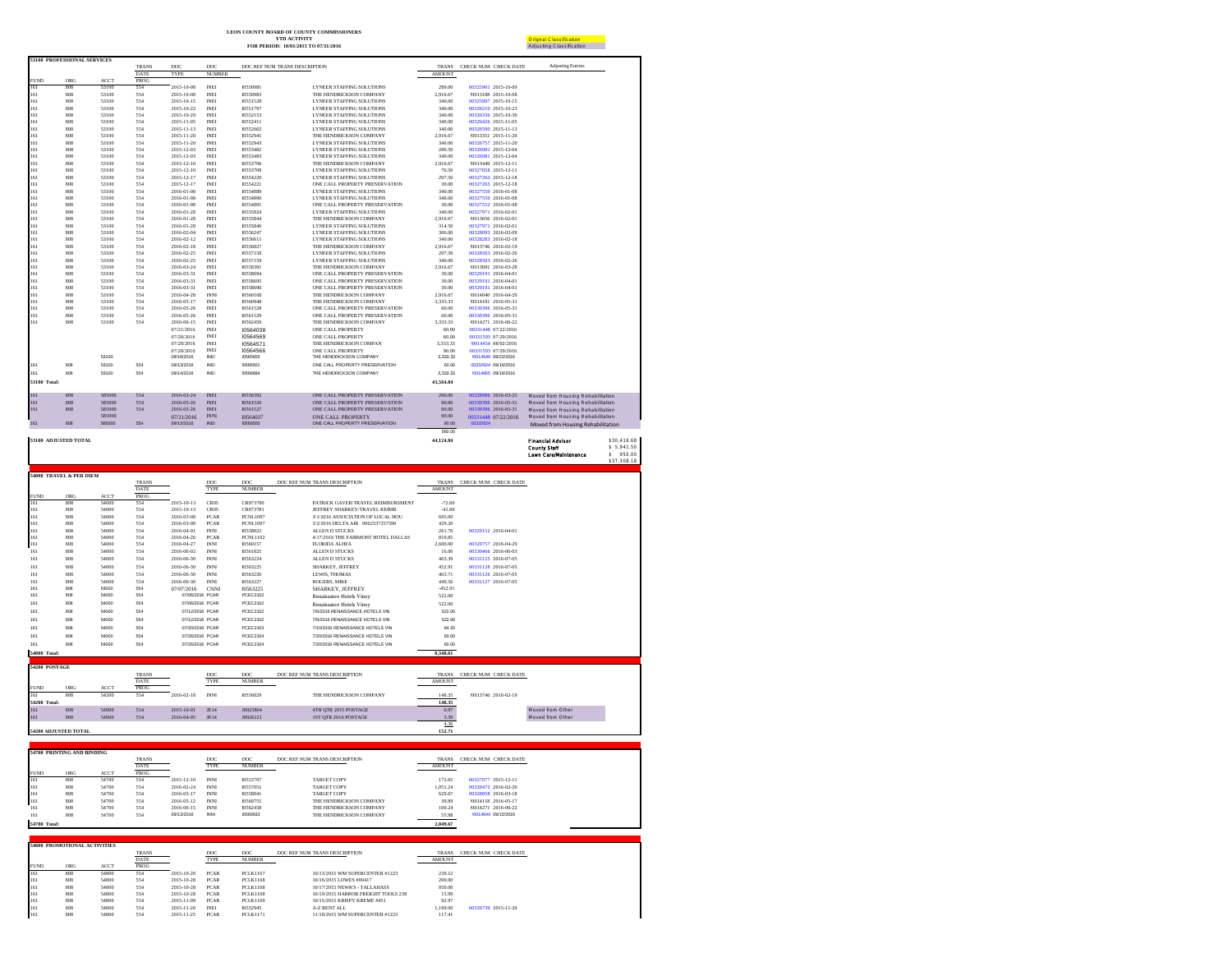| LEON COUNTY BOARD OF COUNTY COMMISSIONERS |
|-------------------------------------------|
| <b>YTD ACTIVITY</b>                       |

|                    |                                    |                      |                    |                          |                              |                               | <b>YTD ACTIVITY</b><br>FOR PERIOD: 10/01/2015 TO 07/31/2016 |                    |                                            | Orignal Classification<br>Adjusting Classification |             |
|--------------------|------------------------------------|----------------------|--------------------|--------------------------|------------------------------|-------------------------------|-------------------------------------------------------------|--------------------|--------------------------------------------|----------------------------------------------------|-------------|
|                    | <b>53100 PROFESSIONAL SERVICES</b> |                      |                    |                          |                              |                               |                                                             |                    |                                            |                                                    |             |
|                    |                                    |                      | <b>TRANS</b>       | DOC                      | DOC                          | DOC REF NUM TRANS DESCRIPTION |                                                             | <b>TRANS</b>       | CHECK NUM CHECK DATE                       | <b>Adjusting Entries</b>                           |             |
|                    |                                    |                      | <b>DATE</b>        | TYPE                     | <b>NUMBER</b>                |                               |                                                             | <b>AMOUNT</b>      |                                            |                                                    |             |
| <b>FUND</b><br>161 | ORG<br>808                         | <b>ACCT</b><br>53100 | <b>PROG</b><br>554 | 2015-10-08               | <b>INEI</b>                  | 10550981                      | <b>LYNEER STAFFING SOLUTIONS</b>                            | 289.00             | 00325901 2015-10-09                        |                                                    |             |
| 161                | 808                                | 53100                | 554                | 2015-10-08               | <b>INEI</b>                  | 10550983                      | THE HENDRICKSON COMPANY                                     | 2.916.67           | 10013188 2015-10-08                        |                                                    |             |
| 161                | 808                                | 53100                | 554                | 2015-10-15               | <b>INEI</b>                  | 10551528                      | <b>LYNEER STAFFING SOLUTIONS</b>                            | 340.00             | 00325997 2015-10-15                        |                                                    |             |
| 161                | 808                                | 53100                | 554                | 2015-10-22               | <b>INEI</b>                  | 10551797                      | <b>LYNEER STAFFING SOLUTIONS</b>                            | 340.00             | 00326210 2015-10-23                        |                                                    |             |
| 161                | 808                                | 53100                | 554                | 2015-10-29               | <b>INEI</b>                  | 10552153                      | <b>LYNEER STAFFING SOLUTIONS</b>                            | 340.00             | 00326336 2015-10-30                        |                                                    |             |
| 161                | 808                                | 53100                | 554                | 2015-11-05               | <b>INEI</b>                  | 10552411                      | <b>LYNEER STAFFING SOLUTIONS</b>                            | 340.00             | 00326426 2015-11-05                        |                                                    |             |
| 161                | 808                                | 53100                | 554                | 2015-11-13               | <b>INEI</b>                  | 10552602                      | <b>LYNEER STAFFING SOLUTIONS</b>                            | 340.00             | 00326590 2015-11-13                        |                                                    |             |
| 161                | 808                                | 53100                | 554                | 2015-11-20               | <b>INEI</b>                  | 10552941                      | THE HENDRICKSON COMPANY                                     | 2,916.67           | !0013351 2015-11-20                        |                                                    |             |
| 161                | 808                                | 53100                | 554                | 2015-11-20               | <b>INEI</b>                  | 10552943                      | <b>LYNEER STAFFING SOLUTIONS</b>                            | 340.00             | 00326757 2015-11-20                        |                                                    |             |
| 161                | 808                                | 53100                | 554                | 2015-12-03               | <b>INEI</b>                  | 10553482                      | <b>LYNEER STAFFING SOLUTIONS</b>                            | 280.50             | 00326981 2015-12-04                        |                                                    |             |
| 161                | 808                                | 53100                | 554                | 2015-12-03               | <b>INEI</b>                  | 10553483                      | <b>LYNEER STAFFING SOLUTIONS</b>                            | 340.00             | 00326981 2015-12-04                        |                                                    |             |
| 161                | 808                                | 53100                | 554                | 2015-12-10               | <b>INEI</b>                  | 10553706                      | THE HENDRICKSON COMPANY                                     | 2,916.67           | 10013449 2015-12-11                        |                                                    |             |
| 161                | 808                                | 53100                | 554                | 2015-12-10               | <b>INEI</b>                  | 10553708                      | <b>LYNEER STAFFING SOLUTIONS</b>                            | 76.50              | 00327058 2015-12-11                        |                                                    |             |
| 161                | 808                                | 53100                | 554                | 2015-12-17               | <b>INEI</b>                  | 10554220                      | <b>LYNEER STAFFING SOLUTIONS</b>                            | 297.50             | 00327263 2015-12-18                        |                                                    |             |
| 161                | 808                                | 53100                | 554                | 2015-12-17               | <b>INEI</b>                  | 10554221                      | ONE CALL PROPERTY PRESERVATION                              | 30.00              | 00327265 2015-12-18                        |                                                    |             |
| 161                | 808                                | 53100                | 554                | 2016-01-08               | <b>INEI</b>                  | 10554889                      | <b>LYNEER STAFFING SOLUTIONS</b>                            | 340.00             | 00327550 2016-01-08                        |                                                    |             |
| 161                | 808                                | 53100                | 554                | 2016-01-08               | <b>INEI</b>                  | 10554890                      | <b>LYNEER STAFFING SOLUTIONS</b>                            | 340.00             | 00327550 2016-01-08                        |                                                    |             |
| 161                | 808                                | 53100                | 554                | 2016-01-08               | <b>INEI</b>                  | 10554891                      | ONE CALL PROPERTY PRESERVATION                              | 30.00              | 00327552 2016-01-08                        |                                                    |             |
| 161                | 808                                | 53100<br>53100       | 554<br>554         | 2016-01-28               | <b>INEI</b>                  | 10555824                      | <b>LYNEER STAFFING SOLUTIONS</b>                            | 340.00             | 00327971 2016-02-01                        |                                                    |             |
| 161<br>161         | 808<br>808                         | 53100                | 554                | 2016-01-28<br>2016-01-28 | <b>INEI</b><br><b>INEI</b>   | 10555844<br>10555846          | THE HENDRICKSON COMPANY<br><b>LYNEER STAFFING SOLUTIONS</b> | 2,916.67<br>314.50 | !0013656 2016-02-01<br>00327971 2016-02-01 |                                                    |             |
| 161                | 808                                | 53100                | 554                | 2016-02-04               | <b>INEI</b>                  | 10556247                      | <b>LYNEER STAFFING SOLUTIONS</b>                            | 306.00             | 00328093 2016-02-09                        |                                                    |             |
| 161                | 808                                | 53100                | 554                | 2016-02-12               | <b>INEI</b>                  | 10556611                      | <b>LYNEER STAFFING SOLUTIONS</b>                            | 340.00             | 00328283 2016-02-18                        |                                                    |             |
| 161                | 808                                | 53100                | 554                | 2016-02-18               | <b>INEI</b>                  | 10556827                      | THE HENDRICKSON COMPANY                                     | 2.916.67           | 10013746 2016-02-19                        |                                                    |             |
| 161                | 808                                | 53100                | 554                | 2016-02-25               | <b>INEI</b>                  | 10557158                      | <b>LYNEER STAFFING SOLUTIONS</b>                            | 297.50             | 00328503 2016-02-26                        |                                                    |             |
| 161                | 808                                | 53100                | 554                | 2016-02-25               | <b>INEI</b>                  | 10557159                      | <b>LYNEER STAFFING SOLUTIONS</b>                            | 340.00             | 00328503 2016-02-26                        |                                                    |             |
| 161                | 808                                | 53100                | 554                | 2016-03-24               | <b>INEI</b>                  | 10558391                      | THE HENDRICKSON COMPANY                                     | 2.916.67           | 10013891 2016-03-28                        |                                                    |             |
| 161                | 808                                | 53100                | 554                | 2016-03-31               | <b>INEI</b>                  | 10558694                      | ONE CALL PROPERTY PRESERVATION                              | 30.00              | 00329191 2016-04-01                        |                                                    |             |
| 161                | 808                                | 53100                | 554                | 2016-03-31               | <b>INEI</b>                  | 10558695                      | ONE CALL PROPERTY PRESERVATION                              | 30.00              | 00329191 2016-04-01                        |                                                    |             |
| 161                | 808                                | 53100                | 554                | 2016-03-31               | <b>INEI</b>                  | 10558696                      | ONE CALL PROPERTY PRESERVATION                              | 30.00              | 00329191 2016-04-01                        |                                                    |             |
| 161                | 808                                | 53100                | 554                | 2016-04-28               | <b>INNI</b>                  | 10560168                      | THE HENDRICKSON COMPANY                                     | 2.916.67           | !0014040 2016-04-29                        |                                                    |             |
| 161                | 808                                | 53100                | 554                | 2016-05-17               | <b>INEI</b>                  | 10560948                      | THE HENDRICKSON COMPANY                                     | 3.333.33           | 10014181 2016-05-31                        |                                                    |             |
| 161                | 808                                | 53100                | 554                | 2016-05-26               | <b>INEI</b>                  | 10561528                      | ONE CALL PROPERTY PRESERVATION                              | 60.00              | 00330396 2016-05-31                        |                                                    |             |
| 161                | 808                                | 53100                | 554                | 2016-05-26               | <b>INEI</b>                  | 10561529                      | ONE CALL PROPERTY PRESERVATION                              | 60.00              | 00330396 2016-05-31                        |                                                    |             |
| 161                | 808                                | 53100                | 554                | 2016-06-15               | <b>INEI</b>                  | 10562459                      | THE HENDRICKSON COMPANY                                     | 3,333.33           | !0014271 2016-06-22                        |                                                    |             |
|                    |                                    |                      |                    | 07/21/2016               | <b>INEI</b>                  | 10564038                      | ONE CALL PROPERTY                                           | 60.00              | 00331448 07/22/2016                        |                                                    |             |
|                    |                                    |                      |                    | 07/28/2016               | <b>INEI</b>                  | 10564569                      | ONE CALL PROPERTY                                           | 60.00              | 00331593 07/29/2016                        |                                                    |             |
|                    |                                    |                      |                    | 07/28/2016               | <b>INEI</b>                  | 10564571                      | THE HENDRICKSON COMPAN                                      | 3,333.33           | 10014454 08/02/2016                        |                                                    |             |
|                    |                                    |                      |                    | 07/28/2016               | <b>INEI</b>                  | 10564566                      | ONE CALL PROPERTY                                           | 90.00              | 00331593 07/29/2016                        |                                                    |             |
|                    |                                    | 53100                |                    | 08/18/2016               | <b>INEI</b>                  | 10565605                      | THE HENDRICKSON COMPANY                                     | 3.333.33           | 10014549 08/22/2016                        |                                                    |             |
| 161                | 808                                | 53100                | 554                | 09/13/2016               | INEI                         | 10566501                      | ONE CALL PROPERTY PRESERVATION                              | 60.00              | 00332624 09/16/2016                        |                                                    |             |
| 161                | 808                                | 53100                | 554                | 09/14/2016               | <b>INEI</b>                  | 10566694                      | THE HENDRICKSON COMPANY                                     | 3.333.33           | 10014665 09/16/2016                        |                                                    |             |
| 53100 Total:       |                                    |                      |                    |                          |                              |                               |                                                             | 43,564,84          |                                            |                                                    |             |
| 161                | 808                                | 585000               | 554                | 2016-03-24               | <b>INEI</b>                  | 10558392                      | ONE CALL PROPERTY PRESERVATION                              | 200.00             | 00328986 2016-03-25                        | Moved from Housing Rehabilitation                  |             |
| 161                | 808                                | 585000               | 554                | 2016-05-26               | $\ensuremath{\mathsf{INEI}}$ | 10561526                      | ONE CALL PROPERTY PRESERVATION                              | 90.00              | 00330396 2016-05-31                        | Moved from Housing Rehabilitation                  |             |
| 161                | 808                                | 585000               | 554                | 2016-05-26               | <b>INEI</b>                  | 10561527                      | ONE CALL PROPERTY PRESERVATION                              | 90.00              | 00330396 2016-05-31                        | Moved from Housing Rehabilitation                  |             |
|                    |                                    | 585000               |                    | 07/21/2016               | <b>INNI</b>                  | <b>I0564037</b>               | <b>ONE CALL PROPERTY</b>                                    | 90.00              | 00331448 07/22/2016                        | Moved from Housing Rehabilitation                  |             |
| 161                | 808                                | 585000               | 554                | 09/13/2016               | <b>INEI</b>                  | 10566500                      | ONE CALL PROPERTY PRESERVATION                              | 90.00              | 00332624                                   | Moved from Housing Rehabilitation                  |             |
|                    |                                    |                      |                    |                          |                              |                               |                                                             | 560.00             |                                            |                                                    |             |
|                    | 53100 ADJUSTED TOTAL               |                      |                    |                          |                              |                               |                                                             | 44,124.84          |                                            | <b>Financial Advisor</b>                           | \$30.416.68 |
|                    |                                    |                      |                    |                          |                              |                               |                                                             |                    |                                            | <b>County Staff</b>                                | \$5.941.50  |
|                    |                                    |                      |                    |                          |                              |                               |                                                             |                    |                                            | Lawn Care/Maintenance                              | \$ 950.00   |
|                    |                                    |                      |                    |                          |                              |                               |                                                             |                    |                                            |                                                    | \$37,308.18 |

|               | 54000 TRAVEL & PER DIEM |             |              |                 |             |                 |                                     |               |                      |  |
|---------------|-------------------------|-------------|--------------|-----------------|-------------|-----------------|-------------------------------------|---------------|----------------------|--|
|               |                         |             | <b>TRANS</b> |                 | DOC         | DOC             | DOC REF NUM TRANS DESCRIPTION       | <b>TRANS</b>  | CHECK NUM CHECK DATE |  |
|               |                         |             | <b>DATE</b>  |                 | TYPE        | <b>NUMBER</b>   |                                     | <b>AMOUNT</b> |                      |  |
| <b>FUND</b>   | ORG                     | <b>ACCT</b> | <b>PROG</b>  |                 |             |                 |                                     |               |                      |  |
| 161           | 808                     | 54000       | 554          | 2015-10-13      | CR05        | CR073780        | PATRICK GAVER/TRAVEL REIMBLIRSMENT  | $-72.00$      |                      |  |
| 161           | 808                     | 54000       | 554          | 2015-10-13      | CR05        | CR073781        | JEFFREY SHARKEY/TRAVEL REIMB.       | $-41.00$      |                      |  |
| 161           | 808                     | 54000       | 554          | 2016-03-08      | <b>PCAR</b> | <b>PCNL1097</b> | 3/1/2016 ASSOCIATION OF LOCAL HOU   | 695.00        |                      |  |
| 161           | 808                     | 54000       | 554          | 2016-03-08      | <b>PCAR</b> | <b>PCNL1097</b> | 3/2/2016 DELTA AIR 0062337257590    | 429.20        |                      |  |
| 161           | 808                     | 54000       | 554          | 2016-04-01      | <b>INNI</b> | 10558822        | <b>ALLEN D STUCKS</b>               | 261.70        | 00329152 2016-04-01  |  |
| 161           | 808                     | 54000       | 554          | 2016-04-26      | <b>PCAR</b> | <b>PCNL1102</b> | 4/17/2016 THE FAIRMONT HOTEL DALLAS | 810.85        |                      |  |
| 161           | 808                     | 54000       | 554          | 2016-04-27      | <b>INNI</b> | 10560157        | FLORIDA ALHFA                       | 2.600.00      | 00329757 2016-04-29  |  |
| 161           | 808                     | 54000       | 554          | 2016-06-02      | <b>INNI</b> | 10561825        | <b>ALLEN D STUCKS</b>               | 16.00         | 00330466 2016-06-03  |  |
| 161           | 808                     | 54000       | 554          | 2016-06-30      | <b>INNI</b> | 10563224        | <b>ALLEN D STUCKS</b>               | 463.39        | 00331125 2016-07-05  |  |
| 161           | 808                     | 54000       | 554          | 2016-06-30      | <b>INNI</b> | 10563225        | SHARKEY, JEFFREY                    | 452.91        | 00331128 2016-07-05  |  |
| 161           | 808                     | 54000       | 554          | 2016-06-30      | <b>INNI</b> | 10563226        | LEWIS, THOMAS                       | 463.71        | 00331126 2016-07-05  |  |
| 161           | 808                     | 54000       | 554          | 2016-06-30      | <b>INNI</b> | 10563227        | ROGERS, MIKE                        | 449.56        | 00331127 2016-07-05  |  |
| 161           | 808                     | 54000       | 554          | 07/07/2016      | <b>CNNI</b> | 10563225        | <b>SHARKEY, JEFFREY</b>             | $-452.91$     |                      |  |
| 161           | 808                     | 54000       | 554          | 07/06/2016 PCAR |             | PCEC2102        | Renaissance Hotels Vinov            | 522.00        |                      |  |
| 161           | 808                     | 54000       | 554          | 07/06/2016 PCAR |             | <b>PCEC2102</b> | Renaissance Hotels Vinov            | 522.00        |                      |  |
| 161           | 808                     | 54000       | 554          | 07/12/2016 PCAR |             | PCEC2102        | 7/6/2016 RENAISSANCE HOTELS VIN     | 522.00        |                      |  |
| 161           | 808                     | 54000       | 554          | 07/12/2016 PCAR |             | PCEC2102        | 7/6/2016 RENAISSANCE HOTELS VIN     | 522.00        |                      |  |
| 161           | 808                     | 54000       | 554          | 07/20/2016 PCAR |             | PCEC2103        | 7/10/2016 RENAISSANCE HOTELS VIN    | 64.20         |                      |  |
| 161           | 808                     | 54000       | 554          | 07/26/2016 PCAR |             | <b>PCEC2104</b> | 7/20/2016 RENAISSANCE HOTELS VIN    | 60.00         |                      |  |
| 161           | 808                     | 54000       | 554          | 07/26/2016 PCAR |             | <b>PCEC2104</b> | 7/20/2016 RENAISSANCE HOTELS VIN    | 60.00         |                      |  |
| 54000 Total:  |                         |             |              |                 |             |                 |                                     | 8.348.61      |                      |  |
|               |                         |             |              |                 |             |                 |                                     |               |                      |  |
| 54200 POSTAGE |                         |             |              |                 |             |                 |                                     |               |                      |  |

|                      |     |             | <b>TRANS</b> |            | DOC         | DOC           | DOC REF NUM TRANS DESCRIPTION | <b>TRANS</b>  | CHECK NUM CHECK DATE |                  |
|----------------------|-----|-------------|--------------|------------|-------------|---------------|-------------------------------|---------------|----------------------|------------------|
|                      |     |             | <b>DATE</b>  |            | TYPE        | <b>NUMBER</b> |                               | <b>AMOUNT</b> |                      |                  |
| <b>FUND</b>          | ORG | <b>ACCT</b> | <b>PROG</b>  |            |             |               |                               |               |                      |                  |
| 161                  | 808 | 54200       | 554          | 2016-02-18 | <b>INNI</b> | 10556829      | THE HENDRICKSON COMPANY       | 148.35        | 10013746 2016-02-19  |                  |
| 54200 Total:         |     |             |              |            |             |               |                               | 148.35        |                      |                  |
| 161                  | 808 | 54900       | 554          | 2015-10-01 | <b>JE14</b> | J0025864      | 4TH OTR 2015 POSTAGE          | 0.97          |                      | Moved from Other |
| 161                  | 808 | 54900       | 554          | 2016-04-05 | JE14        | J0026121      | <b>IST OTR 2016 POSTAGE</b>   | 3.39          |                      | Moved from Other |
|                      |     |             |              |            |             |               |                               | 4.36          |                      |                  |
| 54200 ADJUSTED TOTAL |     |             |              |            |             |               |                               | 152.71        |                      |                  |

**54700 PRINTING AND BINDING** TRANS DOC DOC DOC REF NUM TRANS DESCRIPTION TRANS CHECK NUM CHECK DATE  $\underbrace{\hspace{2.5cm}\text{I\&AUC} \hspace{2.2cm}}_{AMOUT}$  $\begin{tabular}{l|c|c|c|c|c} \hline \textbf{S4700 PRRITING} & & & & \textbf{RAMNS} \\ \hline \textbf{FUND} & \textbf{ORG} & \textbf{ACT} & \overline{\textbf{DMTE}} \\ \hline \textbf{FUND} & \textbf{ORG} & \textbf{G-CT} & \overline{\textbf{PROG}} \\ \hline \textbf{161} & 808 & 54700 & 554 & 2 \\ \textbf{161} & 808 & 54700 & 554 & 2 \\ \textbf{161} & 808 & 54700 & 554 & 2 \\ \textbf{16$ 161 1898 54700 554 2015-10-20 RN1 195377071 TARGETCOPY 1723-4 002210-7722 2013-12-11<br>161 1898 54700 554 2016-02-24 RN1 195370731 TARGETCOPY 12.000-2012 00238472.2016-02-26<br>161 1808 54700 554 2016-05-17 RN1 19560725<br>161 180 **54700 Total: 2,049.67**

| <b>54800 PROMOTIONAL ACTIVITIES</b> |     |             |              |            |             |                 |                                     |               |                      |
|-------------------------------------|-----|-------------|--------------|------------|-------------|-----------------|-------------------------------------|---------------|----------------------|
|                                     |     |             | <b>TRANS</b> |            | DOC         | DOC             | DOC REF NUM TRANS DESCRIPTION       | <b>TRANS</b>  | CHECK NUM CHECK DATE |
|                                     |     |             | <b>DATE</b>  |            | TYPE        | <b>NUMBER</b>   |                                     | <b>AMOUNT</b> |                      |
| <b>FUND</b>                         | ORG | <b>ACCT</b> | <b>PROG</b>  |            |             |                 |                                     |               |                      |
| 161                                 | 808 | 54800       | 554          | 2015-10-20 | <b>PCAR</b> | <b>PCLK1167</b> | 10/13/2015 WM SUPERCENTER #1223     | 239.12        |                      |
| 161                                 | 808 | 54800       | 554          | 2015-10-28 | <b>PCAR</b> | PCLK1168        | 10/16/2015 LOWES #00417             | 200.00        |                      |
| 161                                 | 808 | 54800       | 554          | 2015-10-28 | <b>PCAR</b> | PCLK1168        | 10/17/2015 NEWK'S - TALLAHASS       | 850.00        |                      |
| 161                                 | 808 | 54800       | 554          | 2015-10-28 | <b>PCAR</b> | PCLK1168        | 10/19/2015 HARBOR FREIGHT TOOLS 238 | 15.99         |                      |
| 161                                 | 808 | 54800       | 554          | 2015-11-09 | <b>PCAR</b> | <b>PCLK1169</b> | 10/15/2015 KRISPY KREME #451        | 92.97         |                      |
| 161                                 | 808 | 54800       | 554          | 2015-11-20 | <b>INEI</b> | 10552945        | A-Z RENT ALL                        | 1.199.00      | 00326739 2015-11-20  |
| 161                                 | 808 | 54800       | 554          | 2015-11-25 | <b>PCAR</b> | <b>PCLK1171</b> | 11/18/2015 WM SUPERCENTER #1223     | 117.41        |                      |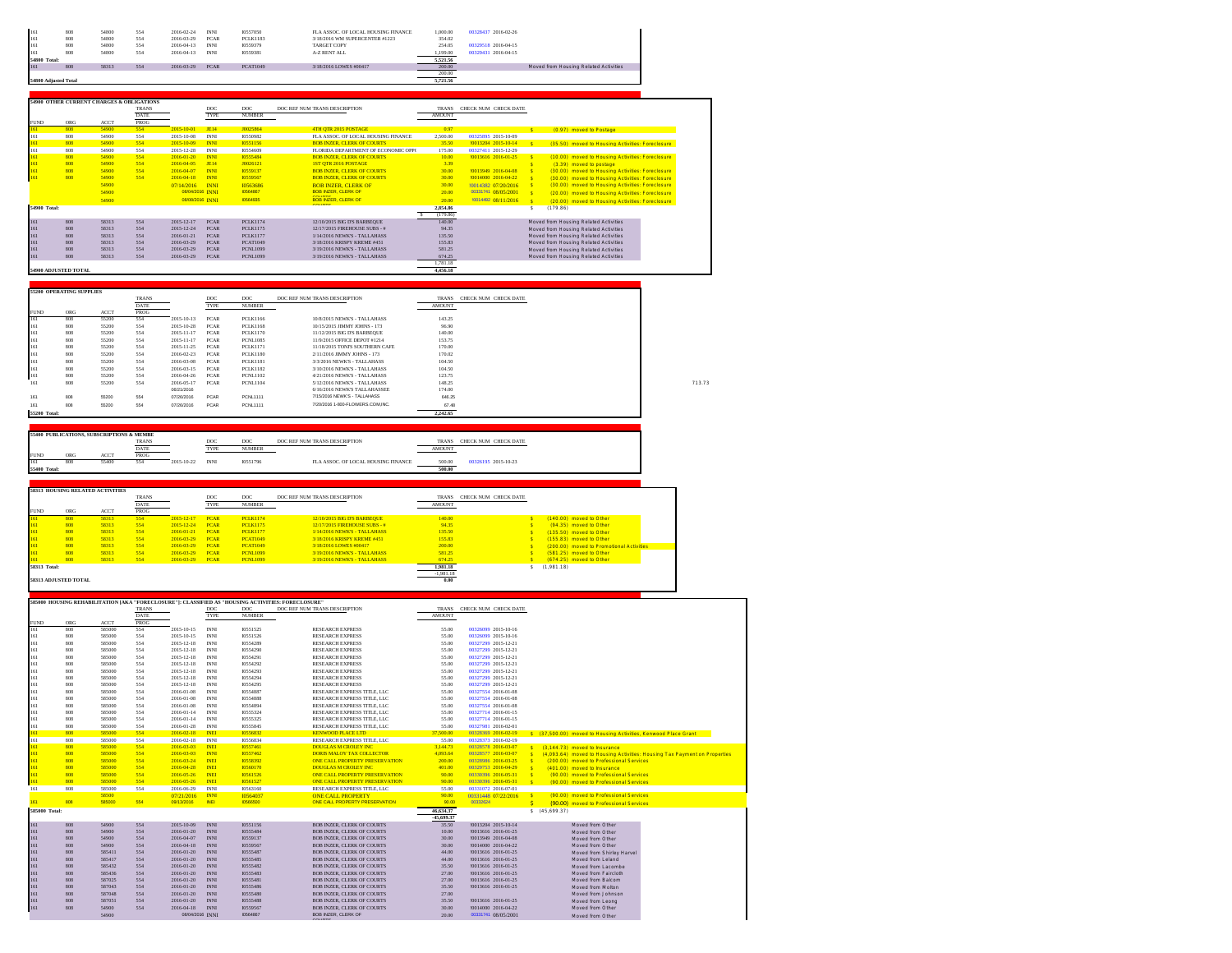| 161                  | 808 | 54800 | 554 | 2016-02-24 | <b>INN</b>  | 10557050        | FLA ASSOC. OF LOCAL HOUSING FINANCE | 1,000.00 | 00328437 2016-02-26 |                                       |
|----------------------|-----|-------|-----|------------|-------------|-----------------|-------------------------------------|----------|---------------------|---------------------------------------|
| 161                  | 808 | 54800 | 554 | 2016-03-29 | <b>PCAR</b> | <b>PCLK1183</b> | 3/18/2016 WM SUPERCENTER #1223      | 354.02   |                     |                                       |
| 161                  | 808 | 54800 | 554 | 2016-04-13 | <b>INNI</b> | 10559379        | <b>TARGET COPY</b>                  | 254.05   | 00329518 2016-04-15 |                                       |
| 16.                  | 808 | 54800 | 554 | 2016-04-13 | <b>INNI</b> | 10559381        | A-Z RENT ALL                        | 1.199.00 | 00329431 2016-04-15 |                                       |
| 54800 Total:         |     |       |     |            |             |                 |                                     | 5.521.56 |                     |                                       |
| 16                   | 808 | 58313 | 554 | 2016-03-29 | <b>PCAR</b> | <b>PCAT1049</b> | 3/18/2016 LOWES #00417              | 200.00   |                     | Moved from Housing Related Activities |
|                      |     |       |     |            |             |                 |                                     | 200.00   |                     |                                       |
| 54800 Adjusted Total |     |       |     |            |             |                 |                                     | 5.721.56 |                     |                                       |

|                      |     | 54900 OTHER CURRENT CHARGES & OBLIGATIONS | <b>TRANS</b> |                  | <b>DOC</b>  | <b>DOC</b>      | DOC REF NUM TRANS DESCRIPTION       | <b>TRANS</b>  | CHECK NUM CHECK DATE |              |                                                  |  |
|----------------------|-----|-------------------------------------------|--------------|------------------|-------------|-----------------|-------------------------------------|---------------|----------------------|--------------|--------------------------------------------------|--|
|                      |     |                                           | <b>DATE</b>  |                  | TYPE        | <b>NUMBER</b>   |                                     | <b>AMOUNT</b> |                      |              |                                                  |  |
| <b>FUND</b>          | ORG | <b>ACCT</b>                               | <b>PROG</b>  |                  |             |                 |                                     |               |                      |              |                                                  |  |
| 161                  | 808 | 54900                                     | 554          | 2015-10-01       | <b>JE14</b> | J0025864        | 4TH OTR 2015 POSTAGE                | 0.97          |                      | ×            | (0.97) moved to Postage                          |  |
| 161                  | 808 | 54900                                     | 554          | 2015-10-08       | <b>INNI</b> | 10550982        | FLA ASSOC. OF LOCAL HOUSING FINANCE | 2.500.00      | 00325895 2015-10-09  |              |                                                  |  |
| 161                  | 808 | 54900                                     | 554          | 2015-10-09       | <b>INNI</b> | 10551156        | <b>BOB INZER, CLERK OF COURTS</b>   | 35.50         | 10013204 2015-10-14  |              | (35.50) moved to Housing Activities: Foreclosure |  |
| 161                  | 808 | 54900                                     | 554          | 2015-12-28       | <b>INNI</b> | 10554609        | FLORIDA DEPARTMENT OF ECONOMIC OPPO | 175.00        | 00327411 2015-12-29  |              |                                                  |  |
| 161                  | 808 | 54900                                     | 554          | 2016-01-20       | <b>INNI</b> | 10555484        | <b>BOB INZER, CLERK OF COURTS</b>   | 10.00         | 10013616 2016-01-25  | $\mathbf{S}$ | (10.00) moved to Housing Activities: Foreclosure |  |
| 161                  | 808 | 54900                                     | 554          | 2016-04-05       | <b>IEL4</b> | J0026121        | <b>IST OTR 2016 POSTAGE</b>         | 3.39          |                      | ×            | (3.39) moved to postage                          |  |
| 161                  | 808 | 54900                                     | 554          | 2016-04-07       | <b>INNI</b> | 10559137        | <b>BOB INZER CLERK OF COURTS</b>    | 30.00         | 10013949 2016-04-08  | $\leq$       | (30.00) moved to Housing Activities: Foreclosure |  |
| 161                  | 808 | 54900                                     | 554          | 2016-04-18       | <b>INNI</b> | 10559567        | <b>BOB INZER, CLERK OF COURTS</b>   | 30.00         | 10014000 2016-04-22  | $\leq$       | (30.00) moved to Housing Activities: Foreclosure |  |
|                      |     | 54900                                     |              | 07/14/2016       | <b>INNI</b> | <b>I0563686</b> | <b>BOB INZER, CLERK OF</b>          | 30.00         | 10014382-07/20/2016  | -8           | (30.00) moved to Housing Activities: Foreclosure |  |
|                      |     | 54900                                     |              | 08/04/2016 INNI  |             | 10564867        | <b>BOB INZER, CLERK OF</b>          | 20.00         | 00331741_08/05/2001  | $\mathbf{S}$ | (20.00) moved to Housing Activities: Foreclosure |  |
|                      |     | 54900                                     |              | 08/08/2016 INNT  |             | 10564935        | COUNTY<br>BOB INZER OF FRK OF       | 20.00         | 10014492 08/11/2016  | $\mathbf{S}$ | (20.00) moved to Housing Activities: Foreclosure |  |
| 54900 Total:         |     |                                           |              |                  |             |                 | <b>COLLEGE</b>                      | 2,854.86      |                      |              | (179.86)                                         |  |
|                      |     |                                           |              |                  |             |                 |                                     | (179.86)      |                      |              |                                                  |  |
| 161                  | SOS | 58313                                     | 554          | $2015 - 12 - 17$ | <b>PCAR</b> | <b>PCLK1174</b> | 12/10/2015 BIG D'S BARBEQUE         | 140.00        |                      |              | Moved from Housing Related Activities            |  |
| 161                  | 808 | 58313                                     | 554          | 2015-12-24       | <b>PCAR</b> | <b>PCLK1175</b> | 12/17/2015 FIREHOUSE SURS - #       | 94.35         |                      |              | Moved from Housing Related Activities            |  |
| 161                  | SOS | 58313                                     | 554          | 2016-01-21       | <b>PCAR</b> | <b>PCLK1177</b> | 1/14/2016 NEWK'S - TALL AHASS       | 135.50        |                      |              | Moved from Housing Related Activities            |  |
| 161                  | 808 | 58313                                     | 554          | 2016-03-29       | <b>PCAR</b> | <b>PCAT1049</b> | 3/18/2016 KRISPY KREME #451         | 155.83        |                      |              | Moved from Housing Related Activities            |  |
| 161                  | SOS | 58313                                     | 554          | 2016-03-29       | <b>PCAR</b> | <b>PCNL1099</b> | 3/19/2016 NEWK'S - TALLAHASS        | 581.25        |                      |              | Moved from Housing Related Activities            |  |
| 161                  | 808 | 58313                                     | 554          | 2016-03-29       | <b>PCAR</b> | <b>PCNL1099</b> | 3/19/2016 NEWK'S - TALLAHASS        | 674.25        |                      |              | Moved from Housing Related Activities            |  |
|                      |     |                                           |              |                  |             |                 |                                     | 1.781.18      |                      |              |                                                  |  |
| 54900 ADJUSTED TOTAL |     |                                           |              |                  |             |                 |                                     | 4,456.18      |                      |              |                                                  |  |

|              | <b>55200 OPERATING SUPPLIES</b> |             |              |            |             |                 |                                  |               |                            |
|--------------|---------------------------------|-------------|--------------|------------|-------------|-----------------|----------------------------------|---------------|----------------------------|
|              |                                 |             | <b>TRANS</b> |            | <b>DOC</b>  | DOC:            | DOC REF NUM TRANS DESCRIPTION    |               | TRANS CHECK NUM CHECK DATE |
|              |                                 |             | DATE         |            | TYPE        | <b>NUMBER</b>   |                                  | <b>AMOUNT</b> |                            |
| <b>FUND</b>  | ORG                             | <b>ACCT</b> | PROG         |            |             |                 |                                  |               |                            |
| 161          | 808                             | 55200       | 554          | 2015-10-13 | <b>PCAR</b> | <b>PCLK1166</b> | 10/8/2015 NEWK'S - TALLAHASS     | 143.25        |                            |
| 161          | 808                             | 55200       | 554          | 2015-10-28 | <b>PCAR</b> | PCLK1168        | 10/15/2015 JIMMY JOHNS - 173     | 96.90         |                            |
| 161          | 808                             | 55200       | 554          | 2015-11-17 | <b>PCAR</b> | PCLK1170        | 11/12/2015 BIG D'S BARBEOUE      | 140.00        |                            |
| 161          | 808                             | 55200       | 554          | 2015-11-17 | <b>PCAR</b> | <b>PCNL1085</b> | 11/9/2015 OFFICE DEPOT #1214     | 153.75        |                            |
| 161          | 808                             | 55200       | 554          | 2015-11-25 | <b>PCAR</b> | <b>PCLK1171</b> | 11/18/2015 TONTS SOUTHERN CAFE   | 170.00        |                            |
| 161          | 808                             | 55200       | 554          | 2016-02-23 | <b>PCAR</b> | PCLK1180        | 2/11/2016 JIMMY JOHNS - 173      | 170.02        |                            |
| 161          | 808                             | 55200       | 554          | 2016-03-08 | <b>PCAR</b> | PCLK1181        | 3/3/2016 NEWK'S - TALLAHASS      | 104.50        |                            |
| 161          | 808                             | 55200       | 554          | 2016-03-15 | <b>PCAR</b> | <b>PCLK1182</b> | 3/10/2016 NEWK'S - TALLAHASS     | 104.50        |                            |
| 161          | 808                             | 55200       | 554          | 2016-04-26 | <b>PCAR</b> | <b>PCNL1102</b> | 4/21/2016 NEWK'S - TALLAHASS     | 123.75        |                            |
| 161          | 808                             | 55200       | 554          | 2016-05-17 | <b>PCAR</b> | <b>PCNL1104</b> | 5/12/2016 NEWK'S - TALLAHASS     | 148.25        |                            |
|              |                                 |             |              | 06/21/2016 |             |                 | 6/16/2016 NEWK'S TALLAHASSEE     | 174.00        |                            |
| 161          | 808                             | 55200       | 554          | 07/26/2016 | PCAR        | <b>PCNL1111</b> | 7/15/2016 NEWK'S - TALLAHASS     | 646.25        |                            |
| 161          | <b>ANR</b>                      | 55200       | 554          | 07/26/2016 | PCAR        | <b>PCNL1111</b> | 7/20/2016 1-800-FLOWERS.COM.INC. | 67.48         |                            |
| 55200 Total: |                                 |             |              |            |             |                 |                                  | 2,242.65      |                            |

| 55400 PUBLICATIONS, SUBSCRIPTIONS & MEMBE |     |             |              |            |             |               |                                     |               |                      |  |  |  |  |
|-------------------------------------------|-----|-------------|--------------|------------|-------------|---------------|-------------------------------------|---------------|----------------------|--|--|--|--|
|                                           |     |             | <b>TRANS</b> |            | DO          | DOC           | DOC REF NUM TRANS DESCRIPTION       | <b>TRANS</b>  | CHECK NUM CHECK DATE |  |  |  |  |
|                                           |     |             | <b>DATE</b>  |            | <b>TYPE</b> | <b>NUMBER</b> |                                     | <b>AMOUNT</b> |                      |  |  |  |  |
| <b>FUND</b>                               | ORG | <b>ACCT</b> | <b>PROC</b>  |            |             |               |                                     |               |                      |  |  |  |  |
| 161                                       |     | 55400       | 554          | 2015-10-22 | <b>INN</b>  | 80551796      | FLA ASSOC. OF LOCAL HOUSING FINANCE | 500.00        | 00326195 2015-10-23  |  |  |  |  |
| 55400 Total:                              |     |             |              |            |             |               |                                     | 500.0         |                      |  |  |  |  |

|              |                             | <b>58313 HOUSING RELATED ACTIVITIES</b> |              |                  |             |                 |                               |               |                            |            |                                          |
|--------------|-----------------------------|-----------------------------------------|--------------|------------------|-------------|-----------------|-------------------------------|---------------|----------------------------|------------|------------------------------------------|
|              |                             |                                         | <b>TRANS</b> |                  | DOC         | DOC             | DOC REF NUM TRANS DESCRIPTION |               | TRANS CHECK NUM CHECK DATE |            |                                          |
|              |                             |                                         | <b>DATE</b>  |                  | TYPE        | <b>NUMBER</b>   |                               | <b>AMOUNT</b> |                            |            |                                          |
| <b>FUND</b>  | ORG                         | <b>ACCT</b>                             | <b>PROG</b>  |                  |             |                 |                               |               |                            |            |                                          |
| 16           | 808                         | 58313                                   | 554          | $2015 - 12 - 17$ | <b>PCAR</b> | <b>PCLK1174</b> | 12/10/2015 BIG D'S BARBEOUE   | 140.00        |                            |            | (140.00) moved to Other                  |
| 161          | 808                         | 58313                                   | 554          | $2015 - 12 - 24$ | <b>PCAR</b> | <b>PCLK1175</b> | 12/17/2015 FIREHOUSE SUBS - # | 94.35         |                            |            | (94.35) moved to Other                   |
| 161          | 808                         | 58313                                   | 554          | $2016-01-21$     | <b>PCAR</b> | <b>PCLK1177</b> | 1/14/2016 NEWK'S - TALLAHASS  | 135.50        |                            |            | (135.50) moved to Other                  |
| 161          | 808                         | 58313                                   | 554          | 2016-03-29       | <b>PCAR</b> | <b>PCAT1049</b> | 3/18/2016 KRISPY KREME #451   | 155.83        |                            |            | (155.83) moved to Other                  |
| 161          | 808                         | 58313                                   | 554          | 2016-03-29       | <b>PCAR</b> | <b>PCAT1049</b> | 3/18/2016 LOWES #00417        | 200.00        |                            |            | (200.00) moved to Promotional Activities |
| 161          | 808                         | 58313                                   | 554          | 2016-03-29       | <b>PCAR</b> | <b>PCNL1099</b> | 3/19/2016 NEWK'S - TALLAHASS  | 581.25        |                            |            | (581.25) moved to Other                  |
| 16           | 808                         | 58313                                   | 554          | 2016-03-29       | <b>PCAR</b> | <b>PCNL1099</b> | 3/19/2016 NEWK'S - TALLAHASS  | 674.25        |                            |            | (674.25) moved to Other                  |
| 58313 Total: |                             |                                         |              |                  |             |                 |                               | 1,981.18      |                            | (1.981.18) |                                          |
|              |                             |                                         |              |                  |             |                 |                               | $-1.981.18$   |                            |            |                                          |
|              | <b>58313 ADJUSTED TOTAL</b> |                                         |              |                  |             |                 |                               | 0.00          |                            |            |                                          |

|               |     |             |              |                 |             |               | 585000 HOUSING REHABILITATION [AKA "FORECLOSURE"]: CLASSIFIED AS "HOUSING ACTIVITIES: FORECLOSURE" |               |                      |     |               |                                                                 |                                                                           |
|---------------|-----|-------------|--------------|-----------------|-------------|---------------|----------------------------------------------------------------------------------------------------|---------------|----------------------|-----|---------------|-----------------------------------------------------------------|---------------------------------------------------------------------------|
|               |     |             | <b>TRANS</b> |                 | DOC         | DOC           | DOC REF NUM TRANS DESCRIPTION                                                                      | <b>TRANS</b>  | CHECK NUM CHECK DATE |     |               |                                                                 |                                                                           |
|               |     |             | <b>DATE</b>  |                 | <b>TYPE</b> | <b>NUMBER</b> |                                                                                                    | <b>AMOUNT</b> |                      |     |               |                                                                 |                                                                           |
| <b>FUND</b>   | ORG | <b>ACCT</b> | PROG         |                 |             |               |                                                                                                    |               |                      |     |               |                                                                 |                                                                           |
| 161           | 808 | 585000      | 554          | 2015-10-15      | <b>INNI</b> | 10551525      | <b>RESEARCH EXPRESS</b>                                                                            | 55.00         | 00326099 2015-10-16  |     |               |                                                                 |                                                                           |
| 161           | 808 | 585000      | 554          | 2015-10-15      | <b>INNI</b> | 10551526      | <b>RESEARCH EXPRESS</b>                                                                            | 55.00         | 00326099 2015-10-16  |     |               |                                                                 |                                                                           |
| 161           | 808 | 585000      | 554          | 2015-12-18      | <b>INNI</b> | 10554289      | <b>RESEARCH EXPRESS</b>                                                                            | 55.00         | 00327299 2015-12-21  |     |               |                                                                 |                                                                           |
| 161           | 808 | 585000      | 554          | 2015-12-18      | <b>INNI</b> | 10554290      | <b>RESEARCH EXPRESS</b>                                                                            | 55.00         | 00327299 2015-12-21  |     |               |                                                                 |                                                                           |
| 161           | 808 | 585000      | 554          | 2015-12-18      | <b>INNI</b> | 10554291      | <b>RESEARCH EXPRESS</b>                                                                            | 55.00         | 00327299 2015-12-21  |     |               |                                                                 |                                                                           |
| 161           | 808 | 585000      | 554          | 2015-12-18      | <b>INNI</b> | 10554292      | <b>RESEARCH EXPRESS</b>                                                                            | 55.00         | 00327299 2015-12-21  |     |               |                                                                 |                                                                           |
| 161           | 808 | 585000      | 554          | 2015-12-18      | <b>INNI</b> | 10554293      | <b>RESEARCH EXPRESS</b>                                                                            | 55.00         | 00327299 2015-12-21  |     |               |                                                                 |                                                                           |
| 161           | 808 | 585000      | 554          | 2015-12-18      | <b>INNI</b> | 10554294      | <b>RESEARCH EXPRESS</b>                                                                            | 55.00         | 00327299 2015-12-21  |     |               |                                                                 |                                                                           |
| 161           | 808 | 585000      | 554          | 2015-12-18      | <b>INNI</b> | 10554295      | <b>RESEARCH EXPRESS</b>                                                                            | 55.00         | 00327299 2015-12-21  |     |               |                                                                 |                                                                           |
| 161           | 808 | 585000      | 554          | 2016-01-08      | <b>INNI</b> | 10554887      | RESEARCH EXPRESS TITLE, LLC                                                                        | 55.00         | 00327554 2016-01-08  |     |               |                                                                 |                                                                           |
| 161           | 808 | 585000      | 554          | 2016-01-08      | <b>INNI</b> | 10554888      | RESEARCH EXPRESS TITLE, LLC                                                                        | 55.00         | 00327554 2016-01-08  |     |               |                                                                 |                                                                           |
| 161           | 808 | 585000      | 554          | 2016-01-08      | <b>INNI</b> | 10554894      | RESEARCH EXPRESS TITLE, LLC                                                                        | 55.00         | 00327554 2016-01-08  |     |               |                                                                 |                                                                           |
| 161           | 808 | 585000      | 554          | 2016-01-14      | <b>INNI</b> | 10555324      | RESEARCH EXPRESS TITLE, LLC                                                                        | 55.00         | 00327714 2016-01-15  |     |               |                                                                 |                                                                           |
| 161           | 808 | 585000      | 554          | 2016-01-14      | <b>INNI</b> | 10555325      | RESEARCH EXPRESS TITLE, LLC                                                                        | 55.00         | 00327714 2016-01-15  |     |               |                                                                 |                                                                           |
| 161           | 808 | 585000      | 554          | 2016-01-28      | <b>INNI</b> | 10555845      | RESEARCH EXPRESS TITLE, LLC                                                                        | 55.00         | 00327981 2016-02-01  |     |               |                                                                 |                                                                           |
| 161           | 808 | 585000      | 554          | 2016-02-18      | <b>INEI</b> | 10556832      | <b>KENWOOD PLACE LTD</b>                                                                           | 37,500.00     | 00328369 2016-02-19  |     |               | \$ (37.500.00) moved to Housing Activities, Kenwood Place Grant |                                                                           |
| 161           | 808 | 585000      | 554          | 2016-02-18      | <b>INNI</b> | 10556834      | RESEARCH EXPRESS TITLE, LLC                                                                        | 55.00         | 00328373 2016-02-19  |     |               |                                                                 |                                                                           |
| 161           | 808 | 585000      | 554          | 2016-03-03      | <b>INEI</b> | 10557461      | <b>DOUGLAS M CROLEY INC</b>                                                                        | 3.144.73      | 00328578 2016-03-07  |     |               | (3,144.73) moved to Insurance                                   |                                                                           |
| 161           | 808 | 585000      | 554          | 2016-03-03      | <b>INNI</b> | 10557462      | <b>DORIS MALOY TAX COLLECTOR</b>                                                                   | 4.093.64      | 00328577 2016-03-07  |     |               |                                                                 | (4,093.64) moved to Housing Activities: Housing Tax Payment on Properties |
| 161           | 808 | 585000      | 554          | 2016-03-24      | <b>INEI</b> | 10558392      | ONE CALL PROPERTY PRESERVATION                                                                     | 200.00        | 00328986 2016-03-25  |     |               | (200.00) moved to Professional Services                         |                                                                           |
| 161           | 808 | 585000      | 554          | 2016-04-28      | <b>INEI</b> | 10560170      | <b>DOUGLAS M CROLEY INC</b>                                                                        | 401.00        | 00329753 2016-04-29  |     |               | (401.00) moved to Insurance                                     |                                                                           |
| 161           | 808 | 585000      | 554          | 2016-05-26      | <b>INEI</b> | 10561526      | ONE CALL PROPERTY PRESERVATION                                                                     | 90.00         | 00330396 2016-05-31  |     |               | (90.00) moved to Professional Services                          |                                                                           |
| 161           | 808 | 585000      | 554          | 2016-05-26      | <b>INEI</b> | 10561527      | ONE CALL PROPERTY PRESERVATION                                                                     | 90.00         | 00330396 2016-05-31  |     |               | (90.00) moved to Professional Services                          |                                                                           |
| 161           | 808 | 585000      | 554          | 2016-06-29      | <b>INNI</b> | 10563160      | RESEARCH EXPRESS TITLE, LLC                                                                        | 55.00         | 00331072 2016-07-01  |     |               |                                                                 |                                                                           |
|               |     | 58500       |              | 07/21/2016      | <b>INNI</b> | 10564037      | <b>ONE CALL PROPERTY</b>                                                                           | 90.00         | 00331448 07/22/2016  | - 5 |               | (90.00) moved to Professional Services                          |                                                                           |
| 161           | 808 | 585000      | 654          | 09/13/2016      | <b>INEI</b> | 10566500      | ONE CALL PROPERTY PRESERVATION                                                                     | 90.00         | 00332624             | s.  |               | (90.00) moved to Professional Services                          |                                                                           |
| 585000 Total: |     |             |              |                 |             |               |                                                                                                    | 46,634.37     |                      |     | \$(45.699.37) |                                                                 |                                                                           |
|               |     |             |              |                 |             |               |                                                                                                    | -45,699.37    |                      |     |               |                                                                 |                                                                           |
| 161           | 808 | 54900       | 554          | 2015-10-09      | <b>INNI</b> | 10551156      | <b>BOB INZER, CLERK OF COURTS</b>                                                                  | 35.50         | !0013204 2015-10-14  |     |               | Moved from Other                                                |                                                                           |
| 161           | 808 | 54900       | 554          | 2016-01-20      | <b>INNI</b> | 10555484      | <b>BOB INZER, CLERK OF COURTS</b>                                                                  | 10.00         | 50013616 2016-01-25  |     |               | Moved from Other                                                |                                                                           |
| 161           | 808 | 54900       | 554          | 2016-04-07      | <b>INNI</b> | 10559137      | <b>BOB INZER, CLERK OF COURTS</b>                                                                  | 30.00         | !0013949 2016-04-08  |     |               | Moved from Other                                                |                                                                           |
| 161           | 808 | 54900       | 554          | 2016-04-18      | <b>INNI</b> | 10559567      | <b>BOB INZER, CLERK OF COURTS</b>                                                                  | 30.00         | !0014000 2016-04-22  |     |               | Moved from Other                                                |                                                                           |
| 161           | 808 | 585411      | 554          | 2016-01-20      | <b>INNI</b> | 10555487      | <b>BOB INZER, CLERK OF COURTS</b>                                                                  | 44.00         | 90013616 2016-01-25  |     |               | Moved from Shirley Harvel                                       |                                                                           |
| 161           | 808 | 585417      | 554          | 2016-01-20      | <b>INNI</b> | 10555485      | <b>BOB INZER, CLERK OF COURTS</b>                                                                  | 44.00         | 50013616 2016-01-25  |     |               | Moved from Leland                                               |                                                                           |
| 161           | 808 | 585432      | 554          | 2016-01-20      | <b>INNI</b> | 10555482      | <b>BOB INZER, CLERK OF COURTS</b>                                                                  | 35.50         | 90013616 2016-01-25  |     |               | Moved from Lacombe                                              |                                                                           |
| 161           | 808 | 585436      | 554          | 2016-01-20      | <b>INNI</b> | 10555483      | <b>BOB INZER, CLERK OF COURTS</b>                                                                  | 27.00         | 90013616 2016-01-25  |     |               | Moved from Faircloth                                            |                                                                           |
| 161           | 808 | 587025      | 554          | 2016-01-20      | <b>INNI</b> | 10555481      | <b>BOB INZER, CLERK OF COURTS</b>                                                                  | 27.00         | !0013616 2016-01-25  |     |               | Moved from Balcom                                               |                                                                           |
| 161           | 808 | 587043      | 554          | 2016-01-20      | <b>INNI</b> | 10555486      | <b>BOB INZER, CLERK OF COURTS</b>                                                                  | 35.50         | 90013616 2016-01-25  |     |               | Moved from Molton                                               |                                                                           |
| 161           | 808 | 587048      | 554          | 2016-01-20      | <b>INNI</b> | 10555480      | <b>BOB INZER, CLERK OF COURTS</b>                                                                  | 27.00         |                      |     |               | Moved from Johnson                                              |                                                                           |
| 161           | 808 | 587051      | 554          | 2016-01-20      | <b>INNI</b> | 10555488      | <b>BOB INZER, CLERK OF COURTS</b>                                                                  | 35.50         | 50013616 2016-01-25  |     |               | Moved from Leong                                                |                                                                           |
| 161           | 808 | 54900       | 554          | 2016-04-18      | <b>INNI</b> | 10559567      | <b>BOB INZER, CLERK OF COURTS</b>                                                                  | 30.00         | !0014000 2016-04-22  |     |               | Moved from Other                                                |                                                                           |
|               |     | 54900       |              | 08/04/2016 INNI |             | 10564867      | BOB INZER, CLERK OF                                                                                | 20.00         | 00331741 08/05/2001  |     |               | Moved from Other                                                |                                                                           |
|               |     |             |              |                 |             |               |                                                                                                    |               |                      |     |               |                                                                 |                                                                           |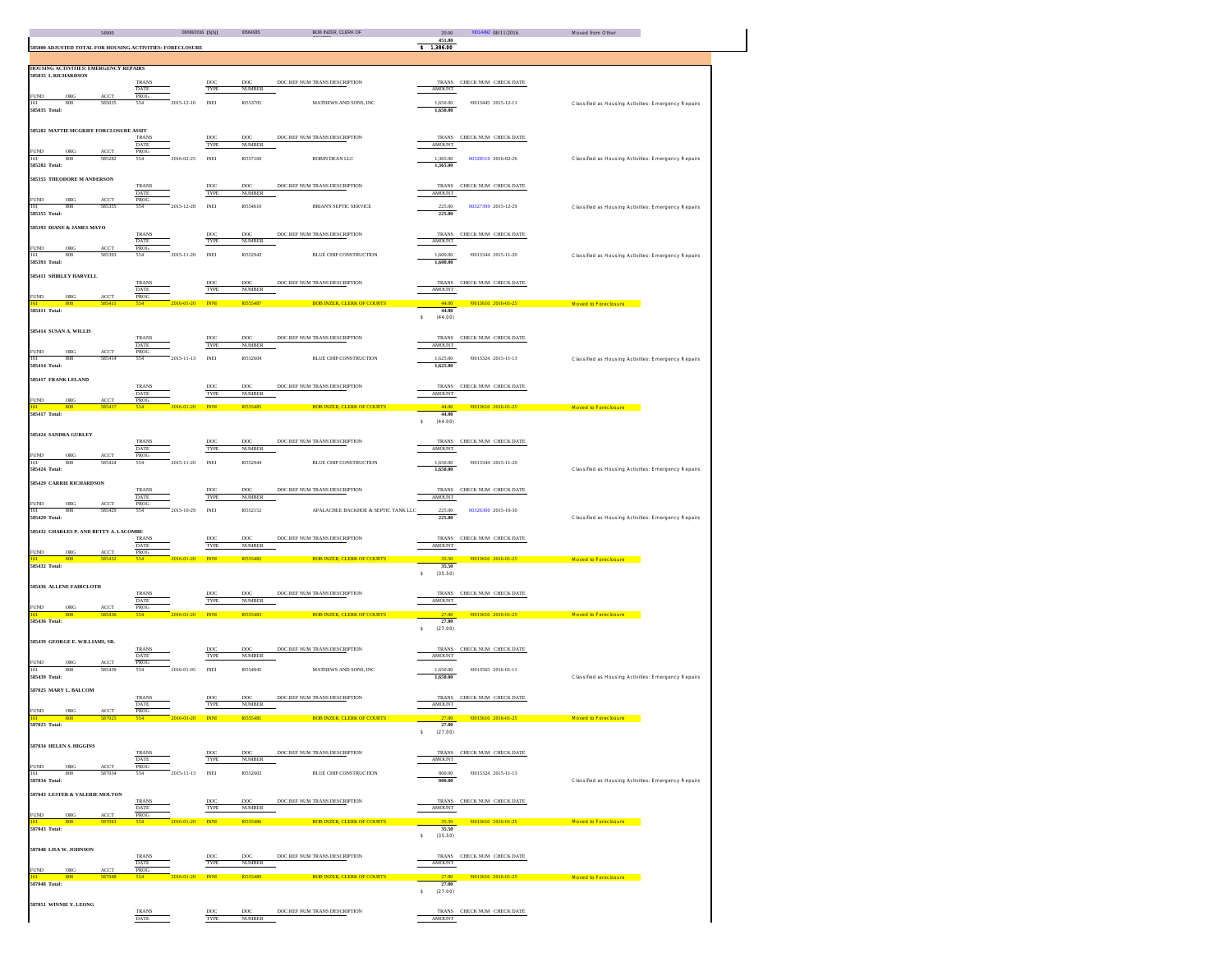|                                                                | 54900                         |                             | 08/08/2016 INNI  |                          | 10564935                         | <b>BOB INZER, CLERK OF</b>          | 20.00                   | 10014492 08/11/2016        | Moved from Other                                    |
|----------------------------------------------------------------|-------------------------------|-----------------------------|------------------|--------------------------|----------------------------------|-------------------------------------|-------------------------|----------------------------|-----------------------------------------------------|
| 585000 ADJUSTED TOTAL FOR HOUSING ACTIVITIES: FORECLOSURE      |                               |                             |                  |                          |                                  |                                     | 451.00<br>3, 1, 386.00  |                            |                                                     |
|                                                                |                               |                             |                  |                          |                                  |                                     |                         |                            |                                                     |
| HOUSING ACTIVITIES: EMERGENCY REPAIRS<br>585035 L RICHARDSON   |                               |                             |                  |                          |                                  |                                     |                         |                            |                                                     |
|                                                                |                               | <b>TRANS</b>                |                  | DOC <sup>1</sup>         | DOC:                             | DOC REF NUM TRANS DESCRIPTION       |                         | TRANS CHECK NUM CHECK DATE |                                                     |
| FUND ORG                                                       | ACCT                          | <b>DATE</b><br>PROG         |                  | TYPE                     | <b>NUMBER</b>                    |                                     | <b>AMOUNT</b>           |                            |                                                     |
| 161 808<br>585035 Total:                                       | 585035                        | 554                         | $2015 - 12 - 10$ | <b>INEI</b>              | 10553705                         | <b>MATHEWS AND SONS. INC</b>        | 1,650.00<br>1,650.00    | 10013445 2015-12-11        | Classified as Housing Activities: Emergency Repairs |
|                                                                |                               |                             |                  |                          |                                  |                                     |                         |                            |                                                     |
| 585282 MATTIE MCGRIFF FORCLOSURE ASSIT                         |                               |                             |                  |                          |                                  |                                     |                         |                            |                                                     |
|                                                                |                               | <b>TRANS</b><br>DATE        |                  | DOC<br>TYPE              | $_{\rm DOC}$<br><b>NUMBER</b>    | DOC REF NUM TRANS DESCRIPTION       | <b>AMOUNT</b>           | TRANS CHECK NUM CHECK DATE |                                                     |
| <b>FUND</b><br>ORG                                             | $\Lambda \text{CCT}$          | PROG                        |                  |                          |                                  |                                     |                         |                            |                                                     |
| 808<br>161<br>585282 Total:                                    | 585282                        | 554                         | 2016-02-25       | <b>INEI</b>              | 10557160                         | ROBIN DEAN LLC                      | 1,365.00<br>1,365.00    | 00328510 2016-02-26        | Classified as Housing Activities: Emergency Repairs |
| 585355 THEODORE M ANDERSON                                     |                               |                             |                  |                          |                                  |                                     |                         |                            |                                                     |
|                                                                |                               | <b>TRANS</b>                |                  | DOC                      | DOC                              | DOC REF NUM TRANS DESCRIPTION       |                         | TRANS CHECK NUM CHECK DATE |                                                     |
|                                                                | ACCT                          | DATE<br>PROG                |                  | TYPE                     | <b>NUMBER</b>                    |                                     | <b>AMOUNT</b>           |                            |                                                     |
| FUND ORG<br>161 808<br>585355 Total:                           | 585355                        | 554                         | 2015-12-28       | <b>INEI</b>              | 10554610                         | <b>BRIAN'S SEPTIC SERVICE</b>       | 225.00<br>225.00        | 00327399 2015-12-29        | Classified as Housing Activities: Emergency Repairs |
|                                                                |                               |                             |                  |                          |                                  |                                     |                         |                            |                                                     |
| 585393 DIANE & JAMES MAYO                                      |                               | <b>TRANS</b>                |                  | DOC                      | DOC                              | DOC REF NUM TRANS DESCRIPTION       |                         | TRANS CHECK NUM CHECK DATE |                                                     |
|                                                                | ACCT                          | <b>DATE</b><br>PROG         |                  | TYPE                     | <b>NUMBER</b>                    |                                     | <b>AMOUNT</b>           |                            |                                                     |
| ORG<br>FUND<br>161 808                                         | 585393                        | 554                         | 2015-11-20       | <b>INEI</b>              | 10552942                         | <b>BLUE CHIP CONSTRUCTION</b>       | 1,600.00                | 10013344 2015-11-20        | Classified as Housing Activities: Emergency Repairs |
| 585393 Total:                                                  |                               |                             |                  |                          |                                  |                                     | 1,600,00                |                            |                                                     |
| 585411 SHIRLEY HARVELL                                         |                               |                             |                  |                          |                                  |                                     |                         |                            |                                                     |
|                                                                |                               | <b>TRANS</b><br><b>DATE</b> |                  | <b>DOC</b><br>TYPE       | DOC:<br><b>NUMBER</b>            | DOC REF NUM TRANS DESCRIPTION       | AMOUNT                  | TRANS CHECK NUM CHECK DATE |                                                     |
| FUND <sub>1</sub><br>$_{\rm ORG}$<br>$-808$<br>$\overline{61}$ | ACCT<br>58541                 | PROG                        | 2016-01-20 INNI  |                          | 10555487                         | <b>BOB INZER, CLERK OF COURTS</b>   | 44.00                   | 10013616 2016-01-25        | Moved to Foreclosure                                |
| 585411 Total:                                                  |                               |                             |                  |                          |                                  |                                     | 44.00                   |                            |                                                     |
|                                                                |                               |                             |                  |                          |                                  |                                     | (44.00)<br>s            |                            |                                                     |
| 585414 SUSAN A. WILLIS                                         |                               |                             |                  |                          |                                  | DOC REF NUM TRANS DESCRIPTION       |                         |                            |                                                     |
|                                                                |                               | <b>TRANS</b><br>DATE        |                  | DOC<br>TYPE              | DOC<br><b>NUMBER</b>             |                                     | <b>AMOUNT</b>           | TRANS CHECK NUM CHECK DATE |                                                     |
| FUND ORG ACCT<br>161 808 585414                                |                               | PROG<br>554                 | $2015 - 11 - 13$ | <b>INEI</b>              | 10552604                         | BLUE CHIP CONSTRUCTION              | 1,625.00                | !0013324 2015-11-13        | Classified as Housing Activities: Emergency Repairs |
| 585414 Total:                                                  |                               |                             |                  |                          |                                  |                                     | 1,625.00                |                            |                                                     |
| 585417 FRANK LELAND                                            |                               |                             |                  |                          |                                  |                                     |                         |                            |                                                     |
|                                                                |                               | <b>TRANS</b>                |                  | DOC                      | DOC:<br><b>NUMBER</b>            | DOC REF NUM TRANS DESCRIPTION       |                         | TRANS CHECK NUM CHECK DATE |                                                     |
| FUND ORG                                                       | <b>ACCT</b>                   | DATE<br>PROG                |                  | TYPE                     |                                  |                                     | <b>AMOUNT</b>           |                            |                                                     |
| 161 808<br>585417 Total:                                       | 585417                        | 554                         | 2016-01-20       | <b>INNI</b>              | <b>MS55485</b>                   | <b>BOB INZER, CLERK OF COURTS</b>   | $-44.00$<br>44,00       | 10013616 2016-01-25        | Moved to Foreclosure                                |
|                                                                |                               |                             |                  |                          |                                  |                                     | $\mathbf{s}$<br>(44.00) |                            |                                                     |
| 585424 SANDRA GURLEY                                           |                               |                             |                  |                          |                                  |                                     |                         |                            |                                                     |
|                                                                |                               | <b>TRANS</b>                |                  | DOC                      | DOC:                             | DOC REF NUM TRANS DESCRIPTION       |                         | TRANS CHECK NUM CHECK DATE |                                                     |
| <b>FUND</b><br>ORG                                             | <b>ACCT</b>                   | <b>DATE</b><br><b>PROG</b>  |                  | TYPE                     | <b>NUMBER</b>                    |                                     | <b>AMOUNT</b>           |                            |                                                     |
| 161 808 585424<br>585424 Total:                                |                               | 554                         | 2015-11-20       | <b>INEI</b>              | 10552944                         | <b>BLUE CHIP CONSTRUCTION</b>       | 1.650.00<br>1,650,00    | 10013344 2015-11-20        | Classified as Housing Activities: Emergency Repairs |
|                                                                |                               |                             |                  |                          |                                  |                                     |                         |                            |                                                     |
| 585429 CARRIE RICHARDSON                                       |                               | <b>TRANS</b>                |                  | DOC                      | $_{\rm DOC}$                     | DOC REF NUM TRANS DESCRIPTION       |                         | TRANS CHECK NUM CHECK DATE |                                                     |
|                                                                |                               | DATE                        |                  | TYPE                     | <b>NUMBER</b>                    |                                     | <b>AMOUNT</b>           |                            |                                                     |
| ORG<br><b>FUND</b><br>161<br>808                               | $\Lambda\text{CCT}$<br>585429 | PROG<br>554                 | 2015-10-29       | INEI                     | 10552152                         | APALACHEE BACKHOE & SEPTIC TANK LLC | 225.00                  | 00326300 2015-10-30        |                                                     |
| 585429 Total:                                                  |                               |                             |                  |                          |                                  |                                     | 225.00                  |                            | Classified as Housing Activities: Emergency Repairs |
| 585432 CHARLES P. AND BETTY A. LACOMBE                         |                               |                             |                  |                          |                                  |                                     |                         |                            |                                                     |
|                                                                |                               | <b>TRANS</b><br><b>DATE</b> |                  | DOC<br>TYPE              | $_{\rm DOC}$<br><b>NUMBER</b>    | DOC REF NUM TRANS DESCRIPTION       | <b>AMOUNT</b>           | TRANS CHECK NUM CHECK DATE |                                                     |
| $_{\mathrm{ORG}}$<br><b>FUND</b>                               | ACCT<br>585432                | PROG                        |                  | <b>INNI</b>              | 10555482                         |                                     |                         |                            |                                                     |
| 161 808<br>585432 Total:                                       |                               |                             | 2016-01-20       |                          |                                  | <b>BOB INZER, CLERK OF COURTS</b>   | 35.50<br>35.50          | 10013616 2016-01-25        | Moved to Foreclosure                                |
|                                                                |                               |                             |                  |                          |                                  |                                     | s<br>(35.50)            |                            |                                                     |
| 585436 ALLENE FAIRCLOTH                                        |                               |                             |                  |                          |                                  |                                     |                         |                            |                                                     |
|                                                                |                               | <b>TRANS</b><br><b>DATE</b> |                  | DOC<br>TYPE              | DOC<br><b>NUMBER</b>             | DOC REF NUM TRANS DESCRIPTION       | <b>AMOUNT</b>           | TRANS CHECK NUM CHECK DATE |                                                     |
| <b>FUND</b><br>ORG                                             | ACCT                          | PROG                        |                  |                          |                                  |                                     |                         |                            |                                                     |
| $161 -$<br>808<br>585436 Total:                                | 585436                        | 554                         | 2016-01-20 INNI  |                          | 10555483                         | <b>BOB INZER, CLERK OF COURTS</b>   | $-27.00$<br>27.00       | 10013616 2016-01-25        | Moved to Foreclosure                                |
|                                                                |                               |                             |                  |                          |                                  |                                     | $S = (27.00)$           |                            |                                                     |
| 585439 GEORGE E. WILLIAMS, SR.                                 |                               |                             |                  |                          |                                  |                                     |                         |                            |                                                     |
|                                                                |                               | TRANS<br>DATE               |                  | DOC<br>TYPE              | $_{\text{DOC}}$<br><b>NUMBER</b> | DOC REF NUM TRANS DESCRIPTION       | <b>AMOUNT</b>           | TRANS CHECK NUM CHECK DATE |                                                     |
| ORG<br><b>FUND</b>                                             | $\Lambda \text{CCT}$          | PROG                        |                  |                          |                                  |                                     |                         |                            |                                                     |
| 161<br>808<br>585439 Total:                                    | 585439                        | 554                         | 2016-01-05       | <b>INEI</b>              | 10554845                         | MATHEWS AND SONS, INC.              | 1,650.00<br>1,650.00    | 10013565 2016-01-11        | Classified as Housing Activities: Emergency Repairs |
| 587025 MARY L. BALCOM                                          |                               |                             |                  |                          |                                  |                                     |                         |                            |                                                     |
|                                                                |                               | <b>TRANS</b>                |                  | DOC                      | DOC                              | DOC REF NUM TRANS DESCRIPTION       |                         | TRANS CHECK NUM CHECK DATE |                                                     |
| FUND<br>ORG                                                    | ACCT                          | <b>DATE</b><br>PROG         |                  | TYPE                     | <b>NUMBER</b>                    |                                     | <b>AMOUNT</b>           |                            |                                                     |
| 61<br>808                                                      | 587025                        | 554                         | 2016-01-20       | <b>INNI</b>              | 10555481                         | <b>BOB INZER, CLERK OF COURTS</b>   |                         |                            | 27.00 13616 2016-01-25 Moved to Foreclosure         |
| 87025 Total:                                                   |                               |                             |                  |                          |                                  |                                     | 27.00<br>s<br>(27.00)   |                            |                                                     |
| 587034 HELEN S. HIGGINS                                        |                               |                             |                  |                          |                                  |                                     |                         |                            |                                                     |
|                                                                |                               | <b>TRANS</b>                |                  | DOC                      | DOC                              | DOC REF NUM TRANS DESCRIPTION       |                         | TRANS CHECK NUM CHECK DATE |                                                     |
| <b>FUND</b><br>$_{\mathrm{ORG}}$                               | ACCT                          | <b>DATE</b><br>PROG         |                  | TYPE                     | <b>NUMBER</b>                    |                                     | <b>AMOUNT</b>           |                            |                                                     |
| 161<br>808                                                     | 587034                        | 554                         | 2015-11-13 INEI  |                          | 10552603                         | <b>BLUE CHIP CONSTRUCTION</b>       | 800.00                  | !0013324 2015-11-13        |                                                     |
| 587034 Total:                                                  |                               |                             |                  |                          |                                  |                                     | 800,00                  |                            | Classified as Housing Activities: Emergency Repairs |
| 587043 LESTER & VALERIE MOLTON                                 |                               | <b>TRANS</b>                |                  |                          |                                  |                                     |                         | TRANS CHECK NUM CHECK DATE |                                                     |
|                                                                |                               | <b>DATE</b>                 |                  | DOC <sup>1</sup><br>TYPE | DOC:<br><b>NUMBER</b>            | DOC REF NUM TRANS DESCRIPTION       | <b>AMOUNT</b>           |                            |                                                     |
| <b>FUND</b><br>ORG<br> 61 <br>808                              | <b>ACCT</b><br>587043         | <b>PROG</b><br>554          | 2016-01-20 INNI  |                          | 10555486                         | <b>BOB INZER, CLERK OF COURTS</b>   | 35.50                   | 10013616 2016-01-25        | Moved to Enterlosure                                |
| <b>587043 Total:</b>                                           |                               |                             |                  |                          |                                  |                                     | 35.50                   |                            |                                                     |
|                                                                |                               |                             |                  |                          |                                  |                                     | (35.50)<br>s            |                            |                                                     |
| 587048 LISA W. JOHNSON                                         |                               |                             |                  |                          |                                  |                                     |                         |                            |                                                     |
|                                                                |                               | <b>TRANS</b><br><b>DATE</b> |                  | DOC<br>TYPE              | $_{\rm DOC}$<br><b>NUMBER</b>    | DOC REF NUM TRANS DESCRIPTION       | <b>AMOUNT</b>           | TRANS CHECK NUM CHECK DATE |                                                     |
| <b>FUND</b><br>ORG<br>61<br>808                                | ACCT<br>58704                 | PROG<br>554                 | 2016-01-20       | <b>INNI</b>              | 10555480                         | <b>BOB INZER, CLERK OF COURTS</b>   | 27.00                   |                            |                                                     |
| 587048 Total:                                                  |                               |                             |                  |                          |                                  |                                     | 27.00                   |                            | Moved to Foreclosure 10013616 2016-01-25            |
|                                                                |                               |                             |                  |                          |                                  |                                     | (27.00)<br>s            |                            |                                                     |
| 587051 WINNIE Y. LEONG                                         |                               |                             |                  |                          |                                  |                                     |                         |                            |                                                     |
|                                                                |                               | <b>TRANS</b><br>DATE        |                  | DOC<br>TYPE              | DOC<br><b>NUMBER</b>             | DOC REF NUM TRANS DESCRIPTION       | <b>AMOUNT</b>           | TRANS CHECK NUM CHECK DATE |                                                     |
|                                                                |                               |                             |                  |                          |                                  |                                     |                         |                            |                                                     |